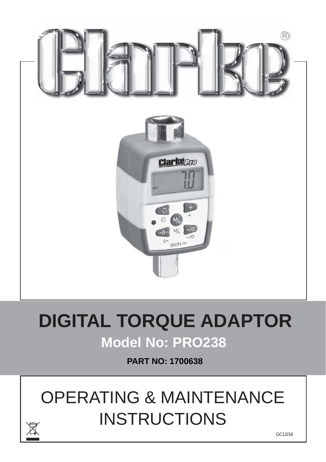

# **DIGITAL TORQUE ADAPTOR Model No: PRO238**

**PART NO: 1700638**

# OPERATING & MAINTENANCE **INSTRUCTIONS**

GC12/16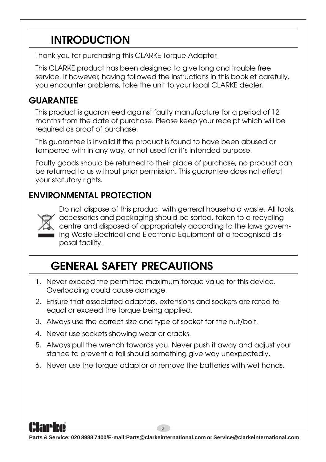## **INTRODUCTION**

Thank you for purchasing this CLARKE Torque Adaptor.

This CLARKE product has been designed to give long and trouble free service. If however, having followed the instructions in this booklet carefully, you encounter problems, take the unit to your local CLARKE dealer.

#### **GUARANTEE**

This product is guaranteed against faulty manufacture for a period of 12 months from the date of purchase. Please keep your receipt which will be required as proof of purchase.

This guarantee is invalid if the product is found to have been abused or tampered with in any way, or not used for it's intended purpose.

Faulty goods should be returned to their place of purchase, no product can be returned to us without prior permission. This guarantee does not effect your statutory rights.

#### **ENVIRONMENTAL PROTECTION**



Do not dispose of this product with general household waste. All tools, accessories and packaging should be sorted, taken to a recycling centre and disposed of appropriately according to the laws governing Waste Electrical and Electronic Equipment at a recognised disposal facility.

# **GENERAL SAFETY PRECAUTIONS**

- 1. Never exceed the permitted maximum torque value for this device. Overloading could cause damage.
- 2. Ensure that associated adaptors, extensions and sockets are rated to equal or exceed the torque being applied.
- 3. Always use the correct size and type of socket for the nut/bolt.
- 4. Never use sockets showing wear or cracks.
- 5. Always pull the wrench towards you. Never push it away and adjust your stance to prevent a fall should something give way unexpectedly.
- 6. Never use the torque adaptor or remove the batteries with wet hands.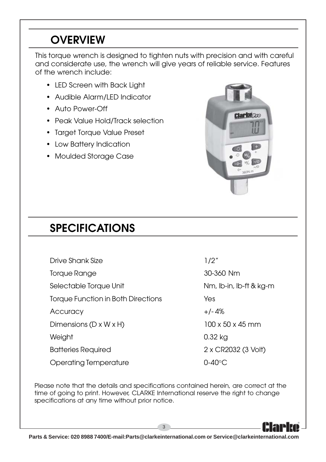# **OVERVIEW**

This torque wrench is designed to tighten nuts with precision and with careful and considerate use, the wrench will give years of reliable service. Features of the wrench include:

- LED Screen with Back Light
- Audible Alarm/LED Indicator
- Auto Power-Off
- Peak Value Hold/Track selection
- Target Torque Value Preset
- Low Battery Indication
- Moulded Storage Case



# **SPECIFICATIONS**

Drive Shank Size 1/2"

Torque Range 30-360 Nm

Selectable Torque Unit Nm, Ib-in, Ib-ft & kg-m

Torque Function in Both Directions Yes

Accuracy +/- 4%

Dimensions ( $D \times W \times H$ ) 100 x 50 x 45 mm

Operating Temperature **CODEC** 0-40°C

Weight 0.32 kg Batteries Required 2 x CR2032 (3 Volt)

Please note that the details and specifications contained herein, are correct at the time of going to print. However, CLARKE International reserve the right to change specifications at any time without prior notice.

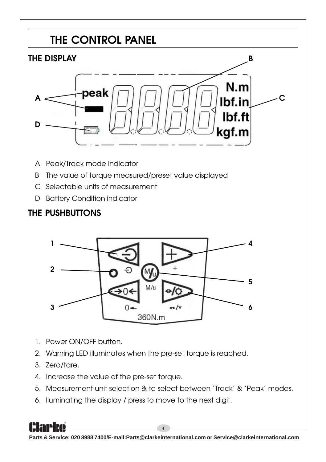



- 1. Power ON/OFF button.
- 2. Warning LED illuminates when the pre-set torque is reached.
- 3. Zero/tare.
- 4. Increase the value of the pre-set torque.
- 5. Measurement unit selection & to select between 'Track' & 'Peak' modes.
- 6. lluminating the display / press to move to the next digit.

4 **Parts & Service: 020 8988 7400/E-mail:Parts@clarkeinternational.com or Service@clarkeinternational.com**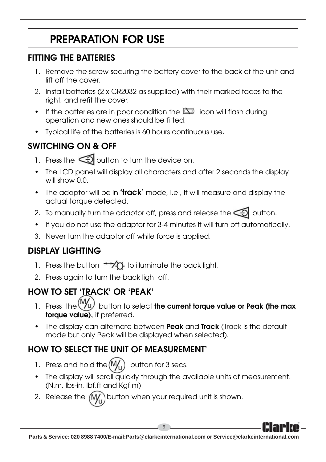# **PREPARATION FOR USE**

#### **FITTING THE BATTERIES**

- 1. Remove the screw securing the battery cover to the back of the unit and lift off the cover.
- 2. Install batteries (2 x CR2032 as supplied) with their marked faces to the right, and refit the cover.
- If the batteries are in poor condition the  $\sum$  icon will flash during operation and new ones should be fitted.
- Typical life of the batteries is 60 hours continuous use.

#### **SWITCHING ON & OFF**

- 1. Press the  $\bigodot$  button to turn the device on.
- The LCD panel will display all characters and after 2 seconds the display will show 0.0.
- The adaptor will be in **'track'** mode, i.e., it will measure and display the actual torque detected.
- 2. To manually turn the adaptor off, press and release the  $\bigodot$  button.
- If you do not use the adaptor for 3-4 minutes it will turn off automatically.
- 3. Never turn the adaptor off while force is applied.

#### **DISPLAY LIGHTING**

- 1. Press the button  $\overline{t}$  to illuminate the back light.
- 2. Press again to turn the back light off.

## **HOW TO SET 'TRACK' OR 'PEAK'**

- 1. Press the  $\left(\frac{W_{U}}{W_{U}}\right)$  button to select **the current torque value or Peak (the max torque value),** if preferred.
- The display can alternate between **Peak** and **Track** (Track is the default mode but only Peak will be displayed when selected).

### **HOW TO SELECT THE UNIT OF MEASUREMENT'**

- 1. Press and hold the  $(M_1)$  button for 3 secs.
- The display will scroll quickly through the available units of measurement. (N.m, lbs-in, lbf.ft and Kgf.m).
- 2. Release the  $(M)$  button when your required unit is shown.

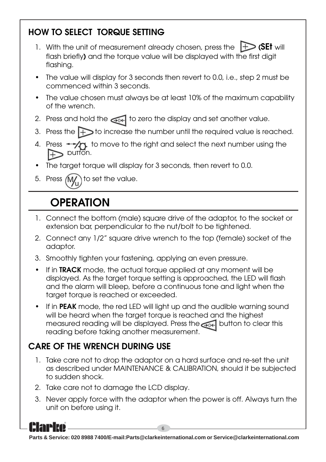#### **HOW TO SELECT TORQUE SETTING**

- 1. With the unit of measurement already chosen, press the **(SEt** will flash briefly**)** and the torque value will be displayed with the first digit flashing.
- The value will display for 3 seconds then revert to 0.0, i.e., step 2 must be commenced within 3 seconds.
- The value chosen must always be at least 10% of the maximum capability of the wrench.
- 2. Press and hold the  $\bigcirc$ <sub>04</sub> to zero the display and set another value.
- 3. Press the  $\leftrightarrow$  to increase the number until the required value is reached.
- 4. Press  $\rightarrow$   $\rightarrow$  to move to the right and select the next number using the  $\triangleright$  button.
- The target torque will display for 3 seconds, then revert to 0.0.
- 5. Press  $(M)$  to set the value.

# **OPERATION**

- 1. Connect the bottom (male) square drive of the adaptor, to the socket or extension bar, perpendicular to the nut/bolt to be tightened.
- 2. Connect any 1/2" square drive wrench to the top (female) socket of the adaptor.
- 3. Smoothly tighten your fastening, applying an even pressure.
- If in **TRACK** mode, the actual torque applied at any moment will be displayed. As the target torque setting is approached, the LED will flash and the alarm will bleep, before a continuous tone and light when the target torque is reached or exceeded.
- If in **PEAK** mode, the red LED will light up and the audible warning sound will be heard when the target torque is reached and the highest measured reading will be displayed. Press the **button** to clear this reading before taking another measurement.

#### **CARE OF THE WRENCH DURING USE**

- 1. Take care not to drop the adaptor on a hard surface and re-set the unit as described under MAINTENANCE & CALIBRATION, should it be subjected to sudden shock.
- 2. Take care not to damage the LCD display.
- 3. Never apply force with the adaptor when the power is off. Always turn the unit on before using it.

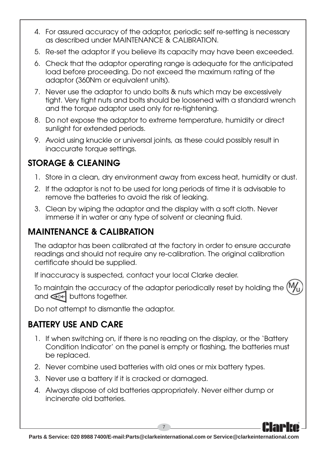- 4. For assured accuracy of the adaptor, periodic self re-setting is necessary as described under MAINTENANCE & CALIBRATION.
- 5. Re-set the adaptor if you believe its capacity may have been exceeded.
- 6. Check that the adaptor operating range is adequate for the anticipated load before proceeding. Do not exceed the maximum rating of the adaptor (360Nm or equivalent units).
- 7. Never use the adaptor to undo bolts & nuts which may be excessively tight. Very tight nuts and bolts should be loosened with a standard wrench and the torque adaptor used only for re-tightening.
- 8. Do not expose the adaptor to extreme temperature, humidity or direct sunlight for extended periods.
- 9. Avoid using knuckle or universal joints, as these could possibly result in inaccurate torque settings.

#### **STORAGE & CLEANING**

- 1. Store in a clean, dry environment away from excess heat, humidity or dust.
- 2. If the adaptor is not to be used for long periods of time it is advisable to remove the batteries to avoid the risk of leaking.
- 3. Clean by wiping the adaptor and the display with a soft cloth. Never immerse it in water or any type of solvent or cleaning fluid.

#### **MAINTENANCE & CALIBRATION**

The adaptor has been calibrated at the factory in order to ensure accurate readings and should not require any re-calibration. The original calibration certificate should be supplied.

If inaccuracy is suspected, contact your local Clarke dealer.

To maintain the accuracy of the adaptor periodically reset by holding the and  $\bigcirc$  buttons together.

Do not attempt to dismantle the adaptor.

#### **BATTERY USE AND CARE**

- 1. If when switching on, if there is no reading on the display, or the 'Battery Condition Indicator' on the panel is empty or flashing, the batteries must be replaced.
- 2. Never combine used batteries with old ones or mix battery types.
- 3. Never use a battery if it is cracked or damaged.
- 4. Always dispose of old batteries appropriately. Never either dump or incinerate old batteries.